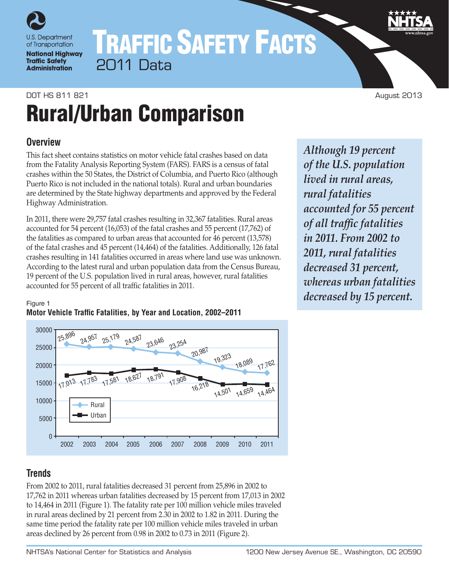

# TRAFFIC SAFETY FACTS 2011 Data

# DOT HS 811 821 August 2013 Rural/Urban Comparison

# **Overview**

This fact sheet contains statistics on motor vehicle fatal crashes based on data from the Fatality Analysis Reporting System (FARS). FARS is a census of fatal crashes within the 50 States, the District of Columbia, and Puerto Rico (although Puerto Rico is not included in the national totals). Rural and urban boundaries are determined by the State highway departments and approved by the Federal Highway Administration.

In 2011, there were 29,757 fatal crashes resulting in 32,367 fatalities. Rural areas accounted for 54 percent (16,053) of the fatal crashes and 55 percent (17,762) of the fatalities as compared to urban areas that accounted for 46 percent (13,578) of the fatal crashes and 45 percent (14,464) of the fatalities. Additionally, 126 fatal crashes resulting in 141 fatalities occurred in areas where land use was unknown. According to the latest rural and urban population data from the Census Bureau, 19 percent of the U.S. population lived in rural areas, however, rural fatalities accounted for 55 percent of all traffic fatalities in 2011.

*Although 19 percent of the U.S. population lived in rural areas, rural fatalities accounted for 55 percent of all traffic fatalities in 2011. From 2002 to 2011, rural fatalities decreased 31 percent, whereas urban fatalities decreased by 15 percent.*

#### Figure 1 **Motor Vehicle Traffic Fatalities, by Year and Location, 2002–2011**



# **Trends**

From 2002 to 2011, rural fatalities decreased 31 percent from 25,896 in 2002 to 17,762 in 2011 whereas urban fatalities decreased by 15 percent from 17,013 in 2002 to 14,464 in 2011 (Figure 1). The fatality rate per 100 million vehicle miles traveled in rural areas declined by 21 percent from 2.30 in 2002 to 1.82 in 2011. During the same time period the fatality rate per 100 million vehicle miles traveled in urban areas declined by 26 percent from 0.98 in 2002 to 0.73 in 2011 (Figure 2).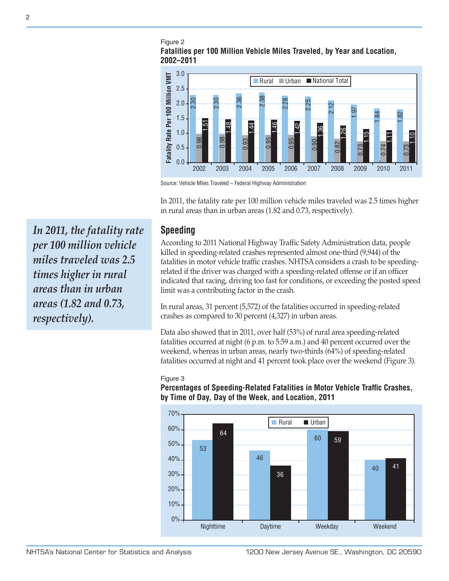#### Figure 2 **Fatalities per 100 Million Vehicle Miles Traveled, by Year and Location, 2002–2011**



Source: Vehicle Miles Traveled – Federal Highway Administration

In 2011, the fatality rate per 100 million vehicle miles traveled was 2.5 times higher in rural areas than in urban areas (1.82 and 0.73, respectively).

### **Speeding**

According to 2011 National Highway Traffic Safety Administration data, people killed in speeding-related crashes represented almost one-third (9,944) of the fatalities in motor vehicle traffic crashes. NHTSA considers a crash to be speedingrelated if the driver was charged with a speeding-related offense or if an officer indicated that racing, driving too fast for conditions, or exceeding the posted speed limit was a contributing factor in the crash.

In rural areas, 31 percent (5,572) of the fatalities occurred in speeding-related crashes as compared to 30 percent (4,327) in urban areas.

Data also showed that in 2011, over half (53%) of rural area speeding-related fatalities occurred at night (6 p.m. to 5:59 a.m.) and 40 percent occurred over the weekend, whereas in urban areas, nearly two-thirds (64%) of speeding-related fatalities occurred at night and 41 percent took place over the weekend (Figure 3).

#### Figure 3 **Percentages of Speeding-Related Fatalities in Motor Vehicle Traffic Crashes, by Time of Day, Day of the Week, and Location, 2011**



*In 2011, the fatality rate per 100 million vehicle miles traveled was 2.5 times higher in rural areas than in urban areas (1.82 and 0.73, respectively).*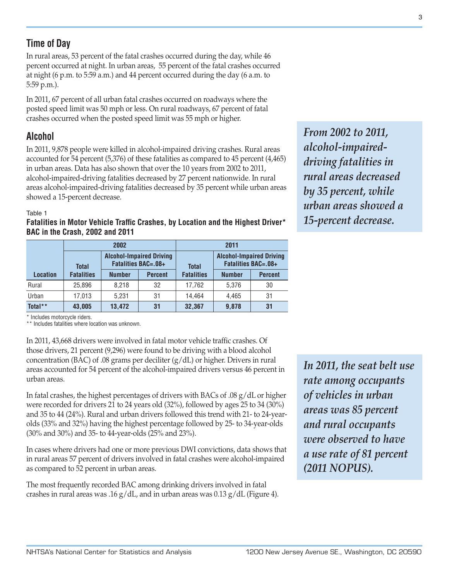# **Time of Day**

In rural areas, 53 percent of the fatal crashes occurred during the day, while 46 percent occurred at night. In urban areas, 55 percent of the fatal crashes occurred at night (6 p.m. to 5:59 a.m.) and 44 percent occurred during the day (6 a.m. to 5:59 p.m.).

In 2011, 67 percent of all urban fatal crashes occurred on roadways where the posted speed limit was 50 mph or less. On rural roadways, 67 percent of fatal crashes occurred when the posted speed limit was 55 mph or higher.

# **Alcohol**

In 2011, 9,878 people were killed in alcohol-impaired driving crashes. Rural areas accounted for 54 percent (5,376) of these fatalities as compared to 45 percent (4,465) in urban areas. Data has also shown that over the 10 years from 2002 to 2011, alcohol-impaired-driving fatalities decreased by 27 percent nationwide. In rural areas alcohol-impaired-driving fatalities decreased by 35 percent while urban areas showed a 15-percent decrease.

#### Table 1

**Fatalities in Motor Vehicle Traffic Crashes, by Location and the Highest Driver\* BAC in the Crash, 2002 and 2011**

|                 |                   | 2002                                                          |                | 2011              |                                                               |                |
|-----------------|-------------------|---------------------------------------------------------------|----------------|-------------------|---------------------------------------------------------------|----------------|
|                 | <b>Total</b>      | <b>Alcohol-Impaired Driving</b><br><b>Fatalities BAC=.08+</b> |                | <b>Total</b>      | <b>Alcohol-Impaired Driving</b><br><b>Fatalities BAC=.08+</b> |                |
| <b>Location</b> | <b>Fatalities</b> | <b>Number</b>                                                 | <b>Percent</b> | <b>Fatalities</b> | <b>Number</b>                                                 | <b>Percent</b> |
| Rural           | 25.896            | 8.218                                                         | 32             | 17,762            | 5.376                                                         | 30             |
| Urban           | 17,013            | 5.231                                                         | 31             | 14.464            | 4.465                                                         | 31             |
| Total**         | 43,005            | 13,472                                                        | 31             | 32,367            | 9,878                                                         | 31             |

*From 2002 to 2011, alcohol-impaireddriving fatalities in rural areas decreased by 35 percent, while urban areas showed a 15-percent decrease.*

\* Includes motorcycle riders.

\*\* Includes fatalities where location was unknown.

In 2011, 43,668 drivers were involved in fatal motor vehicle traffic crashes. Of those drivers, 21 percent (9,296) were found to be driving with a blood alcohol concentration (BAC) of .08 grams per deciliter  $(g/dL)$  or higher. Drivers in rural areas accounted for 54 percent of the alcohol-impaired drivers versus 46 percent in urban areas.

In fatal crashes, the highest percentages of drivers with BACs of .08 g/dL or higher were recorded for drivers 21 to 24 years old (32%), followed by ages 25 to 34 (30%) and 35 to 44 (24%). Rural and urban drivers followed this trend with 21- to 24-yearolds (33% and 32%) having the highest percentage followed by 25- to 34-year-olds (30% and 30%) and 35- to 44-year-olds (25% and 23%).

In cases where drivers had one or more previous DWI convictions, data shows that in rural areas 57 percent of drivers involved in fatal crashes were alcohol-impaired as compared to 52 percent in urban areas.

The most frequently recorded BAC among drinking drivers involved in fatal crashes in rural areas was .16  $g/dL$ , and in urban areas was 0.13  $g/dL$  (Figure 4). *In 2011, the seat belt use rate among occupants of vehicles in urban areas was 85 percent and rural occupants were observed to have a use rate of 81 percent (2011 NOPUS).*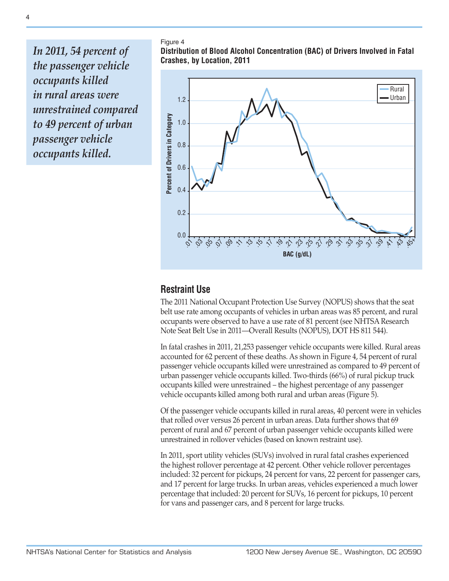*In 2011, 54 percent of the passenger vehicle occupants killed in rural areas were unrestrained compared to 49 percent of urban passenger vehicle occupants killed.*

Figure 4

**Distribution of Blood Alcohol Concentration (BAC) of Drivers Involved in Fatal Crashes, by Location, 2011**



### **Restraint Use**

The 2011 National Occupant Protection Use Survey (NOPUS) shows that the seat belt use rate among occupants of vehicles in urban areas was 85 percent, and rural occupants were observed to have a use rate of 81 percent (see NHTSA Research Note Seat Belt Use in 2011—Overall Results (NOPUS), DOT HS 811 544).

In fatal crashes in 2011, 21,253 passenger vehicle occupants were killed. Rural areas accounted for 62 percent of these deaths. As shown in Figure 4, 54 percent of rural passenger vehicle occupants killed were unrestrained as compared to 49 percent of urban passenger vehicle occupants killed. Two-thirds (66%) of rural pickup truck occupants killed were unrestrained – the highest percentage of any passenger vehicle occupants killed among both rural and urban areas (Figure 5).

Of the passenger vehicle occupants killed in rural areas, 40 percent were in vehicles that rolled over versus 26 percent in urban areas. Data further shows that 69 percent of rural and 67 percent of urban passenger vehicle occupants killed were unrestrained in rollover vehicles (based on known restraint use).

In 2011, sport utility vehicles (SUVs) involved in rural fatal crashes experienced the highest rollover percentage at 42 percent. Other vehicle rollover percentages included: 32 percent for pickups, 24 percent for vans, 22 percent for passenger cars, and 17 percent for large trucks. In urban areas, vehicles experienced a much lower percentage that included: 20 percent for SUVs, 16 percent for pickups, 10 percent for vans and passenger cars, and 8 percent for large trucks.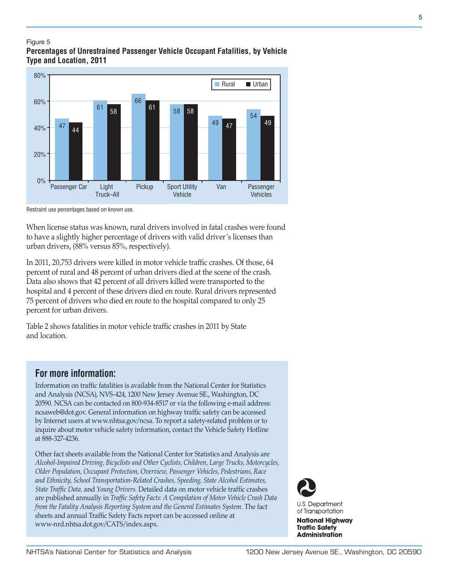#### Figure 5 **Percentages of Unrestrained Passenger Vehicle Occupant Fatalities, by Vehicle Type and Location, 2011**



Restraint use percentages based on known use.

When license status was known, rural drivers involved in fatal crashes were found to have a slightly higher percentage of drivers with valid driver's licenses than urban drivers, (88% versus 85%, respectively).

In 2011, 20,753 drivers were killed in motor vehicle traffic crashes. Of those, 64 percent of rural and 48 percent of urban drivers died at the scene of the crash. Data also shows that 42 percent of all drivers killed were transported to the hospital and 4 percent of these drivers died en route. Rural drivers represented 75 percent of drivers who died en route to the hospital compared to only 25 percent for urban drivers.

Table 2 shows fatalities in motor vehicle traffic crashes in 2011 by State and location.

## **For more information:**

Information on traffic fatalities is available from the National Center for Statistics and Analysis (NCSA), NVS-424, 1200 New Jersey Avenue SE., Washington, DC 20590. NCSA can be contacted on 800-934-8517 or via the following e-mail address: ncsaweb@dot.gov. General information on highway traffic safety can be accessed by Internet users at [www.nhtsa.gov/ncsa.](http://www.nhtsa.gov/portal/site/nhtsa/ncsa) To report a safety-related problem or to inquire about motor vehicle safety information, contact the Vehicle Safety Hotline at 888-327-4236.

Other fact sheets available from the National Center for Statistics and Analysis are *Alcohol-Impaired Driving, Bicyclists and Other Cyclists, Children, Large Trucks, Motorcycles, Older Population, Occupant Protection, Overview, Passenger Vehicles, Pedestrians, Race and Ethnicity, School Transportation-Related Crashes, Speeding, State Alcohol Estimates, State Traffic Data,* and *Young Drivers.* Detailed data on motor vehicle traffic crashes are published annually in *Traffic Safety Facts: A Compilation of Motor Vehicle Crash Data from the Fatality Analysis Reporting System and the General Estimates System.* The fact sheets and annual Traffic Safety Facts report can be accessed online at [www-nrd.nhtsa.dot.gov/CATS/index.aspx.](http://www-nrd.nhtsa.dot.gov/CATS/index.aspx)



**U.S. Department** of Transportation

**National Highway Traffic Safety Administration**